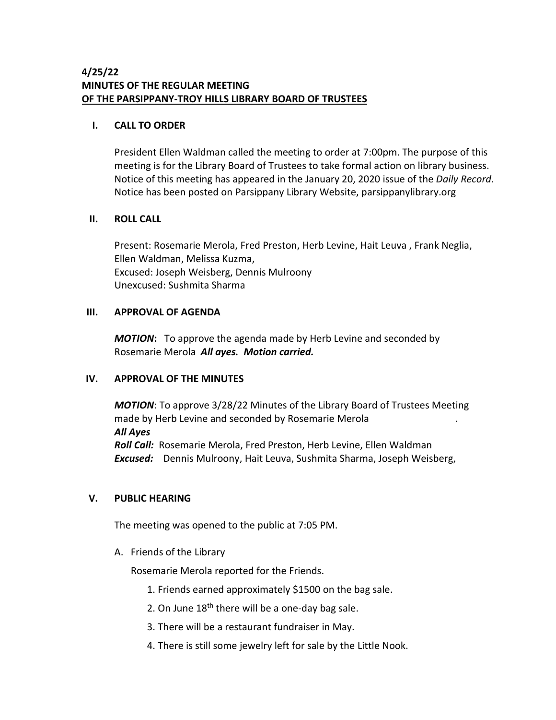## **4/25/22 MINUTES OF THE REGULAR MEETING OF THE PARSIPPANY-TROY HILLS LIBRARY BOARD OF TRUSTEES**

#### **I. CALL TO ORDER**

President Ellen Waldman called the meeting to order at 7:00pm. The purpose of this meeting is for the Library Board of Trustees to take formal action on library business. Notice of this meeting has appeared in the January 20, 2020 issue of the *Daily Record*. Notice has been posted on Parsippany Library Website, parsippanylibrary.org

### **II. ROLL CALL**

Present: Rosemarie Merola, Fred Preston, Herb Levine, Hait Leuva , Frank Neglia, Ellen Waldman, Melissa Kuzma, Excused: Joseph Weisberg, Dennis Mulroony Unexcused: Sushmita Sharma

### **III. APPROVAL OF AGENDA**

*MOTION***:** To approve the agenda made by Herb Levine and seconded by Rosemarie Merola *All ayes. Motion carried.*

# **IV. APPROVAL OF THE MINUTES**

*MOTION*: To approve 3/28/22 Minutes of the Library Board of Trustees Meeting made by Herb Levine and seconded by Rosemarie Merola . *All Ayes Roll Call:* Rosemarie Merola, Fred Preston, Herb Levine, Ellen Waldman *Excused:* Dennis Mulroony, Hait Leuva, Sushmita Sharma, Joseph Weisberg,

#### **V. PUBLIC HEARING**

The meeting was opened to the public at 7:05 PM.

A. Friends of the Library

Rosemarie Merola reported for the Friends.

- 1. Friends earned approximately \$1500 on the bag sale.
- 2. On June 18<sup>th</sup> there will be a one-day bag sale.
- 3. There will be a restaurant fundraiser in May.
- 4. There is still some jewelry left for sale by the Little Nook.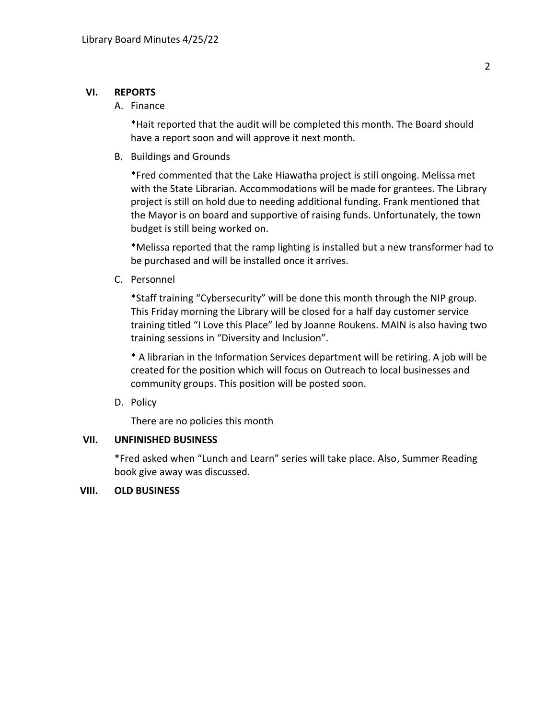# **VI. REPORTS**

## A. Finance

\*Hait reported that the audit will be completed this month. The Board should have a report soon and will approve it next month.

B. Buildings and Grounds

\*Fred commented that the Lake Hiawatha project is still ongoing. Melissa met with the State Librarian. Accommodations will be made for grantees. The Library project is still on hold due to needing additional funding. Frank mentioned that the Mayor is on board and supportive of raising funds. Unfortunately, the town budget is still being worked on.

\*Melissa reported that the ramp lighting is installed but a new transformer had to be purchased and will be installed once it arrives.

C. Personnel

\*Staff training "Cybersecurity" will be done this month through the NIP group. This Friday morning the Library will be closed for a half day customer service training titled "I Love this Place" led by Joanne Roukens. MAIN is also having two training sessions in "Diversity and Inclusion".

\* A librarian in the Information Services department will be retiring. A job will be created for the position which will focus on Outreach to local businesses and community groups. This position will be posted soon.

D. Policy

There are no policies this month

# **VII. UNFINISHED BUSINESS**

\*Fred asked when "Lunch and Learn" series will take place. Also, Summer Reading book give away was discussed.

# **VIII. OLD BUSINESS**